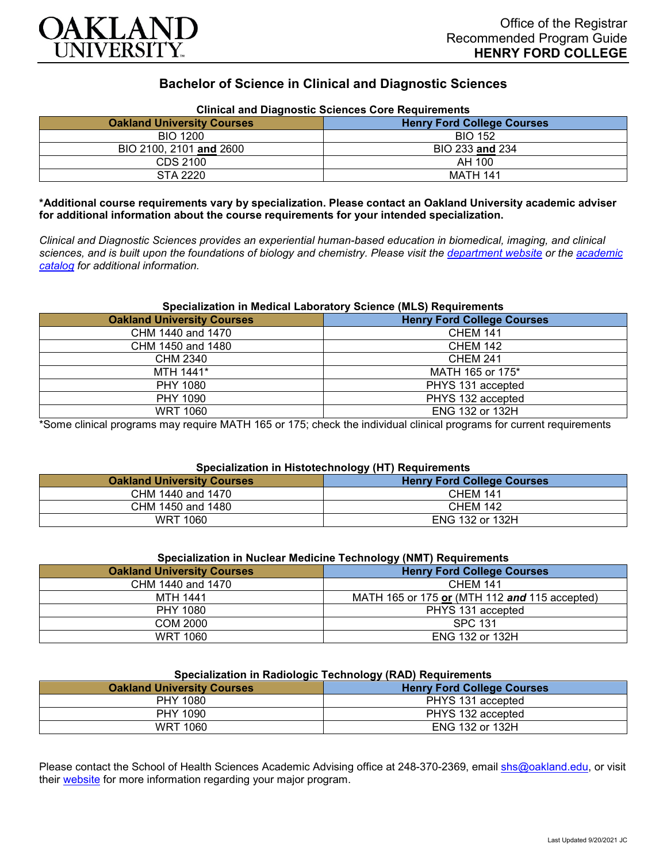

# **Bachelor of Science in Clinical and Diagnostic Sciences**

| Clinical and Diagnostic Sciences Core Requirements |                                   |
|----------------------------------------------------|-----------------------------------|
| <b>Oakland University Courses</b>                  | <b>Henry Ford College Courses</b> |
| <b>BIO 1200</b>                                    | <b>BIO 152</b>                    |
| BIO 2100, 2101 and 2600                            | BIO 233 and 234                   |
| CDS 2100                                           | AH 100                            |
| STA 2220                                           | MATH 141                          |

## **Clinical and Diagnostic Sciences Core Requirements**

**\*Additional course requirements vary by specialization. Please contact an Oakland University academic adviser for additional information about the course requirements for your intended specialization.**

*Clinical and Diagnostic Sciences provides an experiential human-based education in biomedical, imaging, and clinical sciences, and is built upon the foundations of biology and chemistry. Please visit the [department website](https://www.oakland.edu/shs/clinical-and-diagnostic-sciences/) or the [academic](http://catalog.oakland.edu/preview_program.php?catoid=53&poid=8663)  [catalog](http://catalog.oakland.edu/preview_program.php?catoid=53&poid=8663) for additional information.*

#### **Specialization in Medical Laboratory Science (MLS) Requirements**

| <b>Oakland University Courses</b> | <b>Henry Ford College Courses</b> |
|-----------------------------------|-----------------------------------|
| CHM 1440 and 1470                 | <b>CHEM 141</b>                   |
| CHM 1450 and 1480                 | <b>CHEM 142</b>                   |
| CHM 2340                          | <b>CHEM 241</b>                   |
| MTH 1441*                         | MATH 165 or 175*                  |
| PHY 1080                          | PHYS 131 accepted                 |
| PHY 1090                          | PHYS 132 accepted                 |
| <b>WRT 1060</b>                   | ENG 132 or 132H                   |

\*Some clinical programs may require MATH 165 or 175; check the individual clinical programs for current requirements

## **Specialization in Histotechnology (HT) Requirements**

|                                   | .                                 |
|-----------------------------------|-----------------------------------|
| <b>Oakland University Courses</b> | <b>Henry Ford College Courses</b> |
| CHM 1440 and 1470                 | <b>CHEM 141</b>                   |
| CHM 1450 and 1480                 | <b>CHEM 142</b>                   |
| WRT 1060                          | <b>ENG 132 or 132H</b>            |

| Specialization in Nuclear Medicine Technology (NMT) Requirements |                                               |
|------------------------------------------------------------------|-----------------------------------------------|
| <b>Oakland University Courses</b>                                | <b>Henry Ford College Courses</b>             |
| CHM 1440 and 1470                                                | <b>CHEM 141</b>                               |
| MTH 1441                                                         | MATH 165 or 175 or (MTH 112 and 115 accepted) |
| PHY 1080                                                         | PHYS 131 accepted                             |
| <b>COM 2000</b>                                                  | <b>SPC 131</b>                                |
| WRT 1060                                                         | <b>ENG 132 or 132H</b>                        |

### **Specialization in Radiologic Technology (RAD) Requirements**

| <b>Oakland University Courses</b> | .<br><b>Henry Ford College Courses</b> |
|-----------------------------------|----------------------------------------|
| PHY 1080                          | PHYS 131 accepted                      |
| PHY 1090                          | PHYS 132 accepted                      |
| <b>WRT 1060</b>                   | ENG 132 or 132H                        |

Please contact the School of Health Sciences Academic Advising office at 248-370-2369, email [shs@oakland.edu,](mailto:shs@oakland.edu) or visit their [website](http://www.oakland.edu/shs/advising) for more information regarding your major program.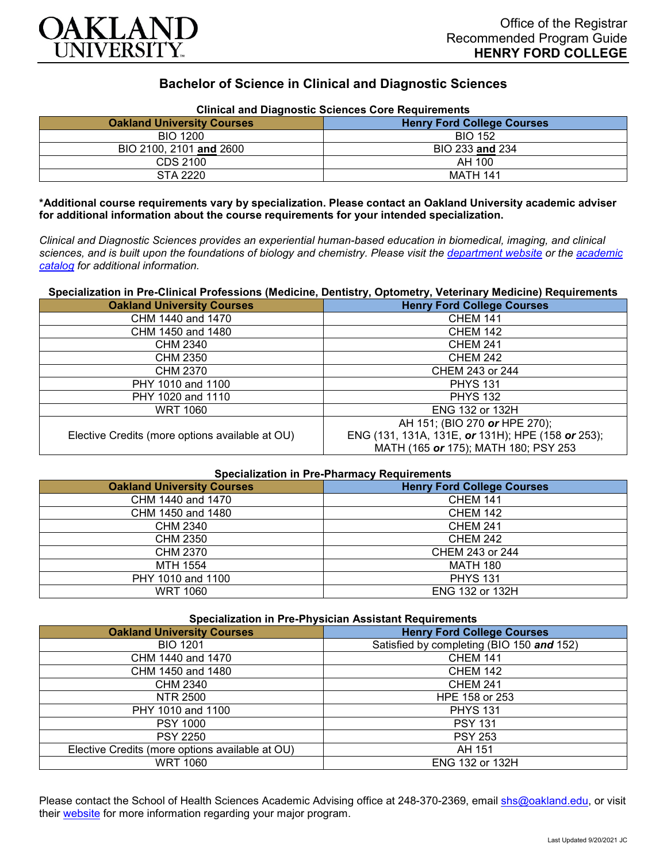

# **Bachelor of Science in Clinical and Diagnostic Sciences**

| Clinical and Diagnostic Sciences Core Requirements |                                   |
|----------------------------------------------------|-----------------------------------|
| <b>Oakland University Courses</b>                  | <b>Henry Ford College Courses</b> |
| <b>BIO 1200</b>                                    | <b>BIO 152</b>                    |
| BIO 2100, 2101 and 2600                            | BIO 233 and 234                   |
| CDS 2100                                           | AH 100                            |
| STA 2220                                           | <b>MATH 141</b>                   |

**Clinical and Diagnostic Sciences Core Requirements**

**\*Additional course requirements vary by specialization. Please contact an Oakland University academic adviser for additional information about the course requirements for your intended specialization.**

*Clinical and Diagnostic Sciences provides an experiential human-based education in biomedical, imaging, and clinical sciences, and is built upon the foundations of biology and chemistry. Please visit the [department website](https://www.oakland.edu/shs/clinical-and-diagnostic-sciences/) or the [academic](http://catalog.oakland.edu/preview_program.php?catoid=53&poid=8663)  [catalog](http://catalog.oakland.edu/preview_program.php?catoid=53&poid=8663) for additional information.*

**Specialization in Pre-Clinical Professions (Medicine, Dentistry, Optometry, Veterinary Medicine) Requirements**

| <b>Oakland University Courses</b>               | <b>Henry Ford College Courses</b>                 |
|-------------------------------------------------|---------------------------------------------------|
| CHM 1440 and 1470                               | <b>CHEM 141</b>                                   |
| CHM 1450 and 1480                               | <b>CHEM 142</b>                                   |
| <b>CHM 2340</b>                                 | <b>CHEM 241</b>                                   |
| <b>CHM 2350</b>                                 | <b>CHEM 242</b>                                   |
| CHM 2370                                        | CHEM 243 or 244                                   |
| PHY 1010 and 1100                               | <b>PHYS 131</b>                                   |
| PHY 1020 and 1110                               | <b>PHYS 132</b>                                   |
| WRT 1060                                        | <b>ENG 132 or 132H</b>                            |
|                                                 | AH 151; (BIO 270 or HPE 270);                     |
| Elective Credits (more options available at OU) | ENG (131, 131A, 131E, or 131H); HPE (158 or 253); |
|                                                 | MATH (165 or 175); MATH 180; PSY 253              |

| <b>Specialization in Pre-Pharmacy Requirements</b> |                                   |
|----------------------------------------------------|-----------------------------------|
| <b>Oakland University Courses</b>                  | <b>Henry Ford College Courses</b> |
| CHM 1440 and 1470                                  | <b>CHEM 141</b>                   |
| CHM 1450 and 1480                                  | <b>CHEM 142</b>                   |
| CHM 2340                                           | <b>CHEM 241</b>                   |
| CHM 2350                                           | <b>CHEM 242</b>                   |
| <b>CHM 2370</b>                                    | CHEM 243 or 244                   |
| MTH 1554                                           | <b>MATH 180</b>                   |
| PHY 1010 and 1100                                  | <b>PHYS 131</b>                   |
| <b>WRT 1060</b>                                    | ENG 132 or 132H                   |

| Specialization in Pre-Physician Assistant Requirements |                                           |
|--------------------------------------------------------|-------------------------------------------|
| <b>Oakland University Courses</b>                      | <b>Henry Ford College Courses</b>         |
| <b>BIO 1201</b>                                        | Satisfied by completing (BIO 150 and 152) |
| CHM 1440 and 1470                                      | <b>CHEM 141</b>                           |
| CHM 1450 and 1480                                      | <b>CHEM 142</b>                           |
| CHM 2340                                               | <b>CHEM 241</b>                           |
| NTR 2500                                               | HPE 158 or 253                            |
| PHY 1010 and 1100                                      | <b>PHYS 131</b>                           |
| <b>PSY 1000</b>                                        | <b>PSY 131</b>                            |
| <b>PSY 2250</b>                                        | <b>PSY 253</b>                            |
| Elective Credits (more options available at OU)        | AH 151                                    |
| <b>WRT 1060</b>                                        | <b>ENG 132 or 132H</b>                    |

Please contact the School of Health Sciences Academic Advising office at 248-370-2369, email [shs@oakland.edu,](mailto:shs@oakland.edu) or visit their [website](http://www.oakland.edu/shs/advising) for more information regarding your major program.